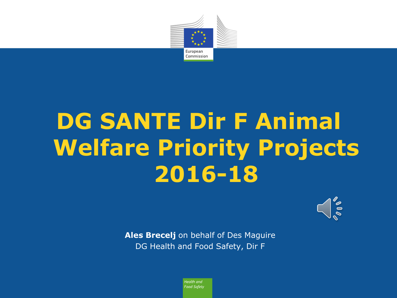

# **DG SANTE Dir F Animal Welfare Priority Projects 2016-18**



**Ales Brecelj** on behalf of Des Maguire DG Health and Food Safety, Dir F

> Health and **Food Safety**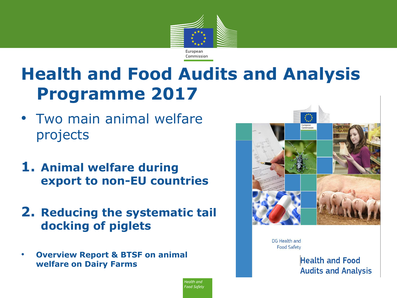

# **Health and Food Audits and Analysis Programme 2017**

- Two main animal welfare projects
- **1. Animal welfare during export to non-EU countries**
- **2. Reducing the systematic tail docking of piglets**
- **Overview Report & BTSF on animal welfare on Dairy Farms**



DG Health and **Food Safety** 

> **Health and Food Audits and Analysis**

Health and Food Safety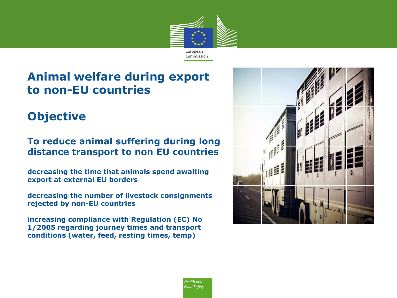

#### **Animal welfare during export to non-EU countries**

#### **Objective**

#### **To reduce animal suffering during long distance transport to non EU countries**

**decreasing the time that animals spend awaiting export at external EU borders**

**decreasing the number of livestock consignments rejected by non-EU countries**

**increasing compliance with Regulation (EC) No 1/2005 regarding journey times and transport conditions (water, feed, resting times, temp)**



Health and Food Safety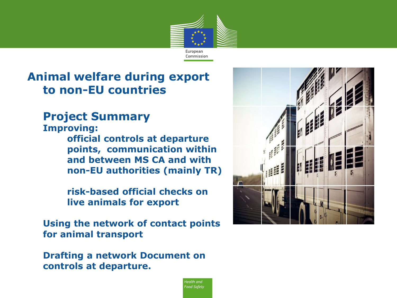

Health and Food Safety

#### **Animal welfare during export to non-EU countries**

#### **Project Summary**

**Improving: official controls at departure points, communication within and between MS CA and with non-EU authorities (mainly TR)** 

> **risk-based official checks on live animals for export**

**Using the network of contact points for animal transport** 

**Drafting a network Document on controls at departure.**

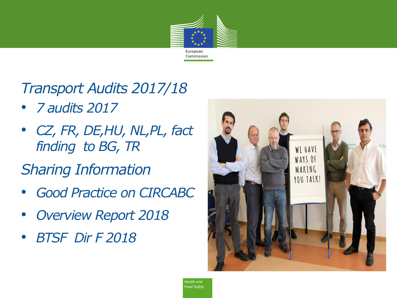

*Transport Audits 2017/18*

- *7 audits 2017*
- *CZ, FR, DE,HU, NL,PL, fact finding to BG, TR*

*Sharing Information*

- *Good Practice on CIRCABC*
- *Overview Report 2018*
- *BTSF Dir F 2018*

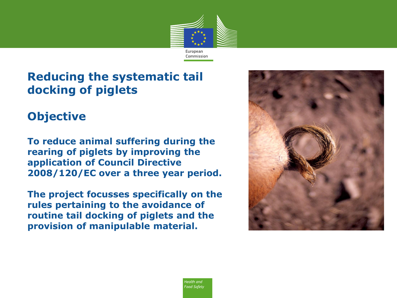

#### **Reducing the systematic tail docking of piglets**

#### **Objective**

**To reduce animal suffering during the rearing of piglets by improving the application of Council Directive 2008/120/EC over a three year period.** 

**The project focusses specifically on the rules pertaining to the avoidance of routine tail docking of piglets and the provision of manipulable material.**

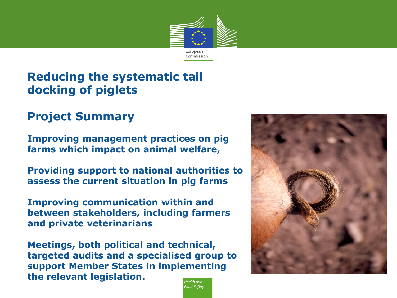

Food Safety

#### **Reducing the systematic tail docking of piglets**

#### **Project Summary**

**Improving management practices on pig farms which impact on animal welfare,** 

**Providing support to national authorities to assess the current situation in pig farms**

**Improving communication within and between stakeholders, including farmers and private veterinarians**

**Meetings, both political and technical, targeted audits and a specialised group to support Member States in implementing the relevant legislation.**Health and

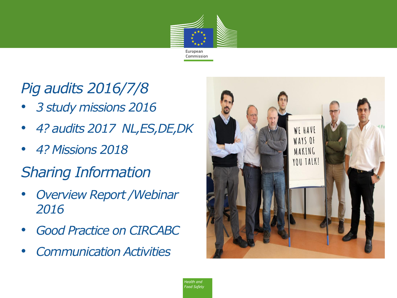

# *Pig audits 2016/7/8*

- *3 study missions 2016*
- *4? audits 2017 NL,ES,DE,DK*
- *4? Missions 2018*

# *Sharing Information*

- *Overview Report /Webinar 2016*
- *Good Practice on CIRCABC*
- *Communication Activities*

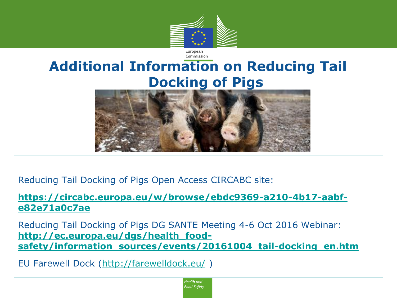

## **Additional Information on Reducing Tail Docking of Pigs**

Commission



Reducing Tail Docking of Pigs Open Access CIRCABC site:

**[https://circabc.europa.eu/w/browse/ebdc9369-a210-4b17-aabf](https://circabc.europa.eu/w/browse/ebdc9369-a210-4b17-aabf-e82e71a0c7ae)[e82e71a0c7ae](https://circabc.europa.eu/w/browse/ebdc9369-a210-4b17-aabf-e82e71a0c7ae)**

Reducing Tail Docking of Pigs DG SANTE Meeting 4-6 Oct 2016 Webinar: **[http://ec.europa.eu/dgs/health\\_food](http://ec.europa.eu/dgs/health_food-safety/information_sources/events/20161004_tail-docking_en.htm)[safety/information\\_sources/events/20161004\\_tail-docking\\_en.htm](http://ec.europa.eu/dgs/health_food-safety/information_sources/events/20161004_tail-docking_en.htm)**

EU Farewell Dock [\(http://farewelldock.eu/](http://farewelldock.eu/) )